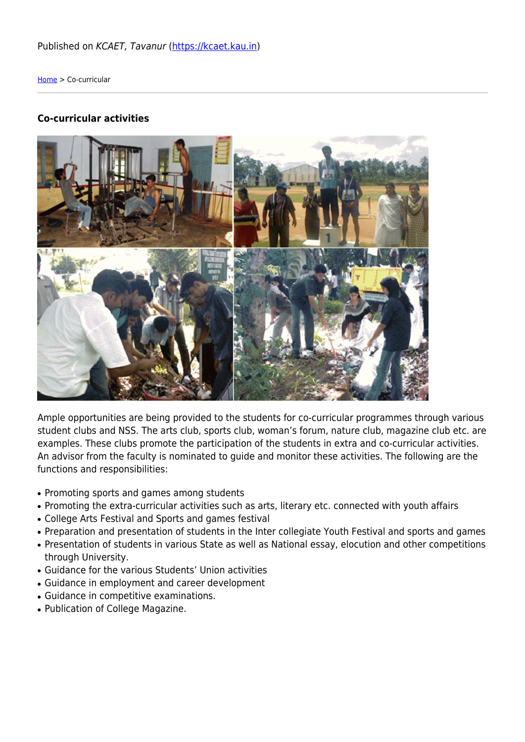## Published on KCAET, Tavanur [\(https://kcaet.kau.in](https://kcaet.kau.in))

[Home](https://kcaet.kau.in/) > Co-curricular

## **Co-curricular activities**



Ample opportunities are being provided to the students for co-curricular programmes through various student clubs and NSS. The arts club, sports club, woman's forum, nature club, magazine club etc. are examples. These clubs promote the participation of the students in extra and co-curricular activities. An advisor from the faculty is nominated to guide and monitor these activities. The following are the functions and responsibilities:

- Promoting sports and games among students
- Promoting the extra-curricular activities such as arts, literary etc. connected with youth affairs
- College Arts Festival and Sports and games festival
- Preparation and presentation of students in the Inter collegiate Youth Festival and sports and games
- Presentation of students in various State as well as National essay, elocution and other competitions through University.
- Guidance for the various Students' Union activities
- Guidance in employment and career development
- Guidance in competitive examinations.
- Publication of College Magazine.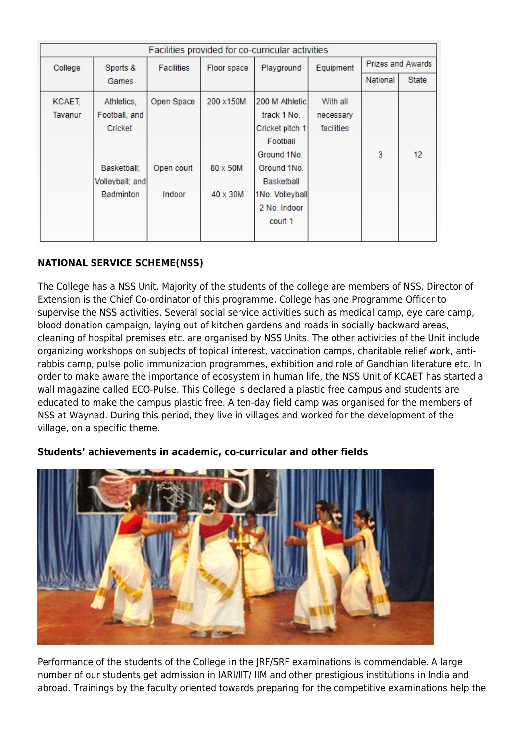| Facilities provided for co-curricular activities |                  |                   |                 |                 |            |                          |       |
|--------------------------------------------------|------------------|-------------------|-----------------|-----------------|------------|--------------------------|-------|
| College                                          | Sports &         | <b>Facilities</b> | Floor space     | Playground      | Equipment  | <b>Prizes and Awards</b> |       |
|                                                  | Games            |                   |                 |                 |            | National                 | State |
| KCAET,                                           | Athletics,       | Open Space        | 200 x150M       | 200 M Athletic  | With all   |                          |       |
| Tavanur                                          | Football, and    |                   |                 | track 1 No.     | necessary  |                          |       |
|                                                  | Cricket          |                   |                 | Cricket pitch 1 | facilities |                          |       |
|                                                  |                  |                   |                 | Football        |            |                          |       |
|                                                  |                  |                   |                 | Ground 1No.     |            | 3                        | 12    |
|                                                  | Basketball:      | Open court        | 80 x 50M        | Ground 1No.     |            |                          |       |
|                                                  | Volleyball; and  |                   |                 | Basketball      |            |                          |       |
|                                                  | <b>Badminton</b> | Indoor            | $40 \times 30M$ | 1No. Volleyball |            |                          |       |
|                                                  |                  |                   |                 | 2 No. Indoor    |            |                          |       |
|                                                  |                  |                   |                 | court 1         |            |                          |       |
|                                                  |                  |                   |                 |                 |            |                          |       |

## **NATIONAL SERVICE SCHEME(NSS)**

The College has a NSS Unit. Majority of the students of the college are members of NSS. Director of Extension is the Chief Co-ordinator of this programme. College has one Programme Officer to supervise the NSS activities. Several social service activities such as medical camp, eye care camp, blood donation campaign, laying out of kitchen gardens and roads in socially backward areas, cleaning of hospital premises etc. are organised by NSS Units. The other activities of the Unit include organizing workshops on subjects of topical interest, vaccination camps, charitable relief work, antirabbis camp, pulse polio immunization programmes, exhibition and role of Gandhian literature etc. In order to make aware the importance of ecosystem in human life, the NSS Unit of KCAET has started a wall magazine called ECO-Pulse. This College is declared a plastic free campus and students are educated to make the campus plastic free. A ten-day field camp was organised for the members of NSS at Waynad. During this period, they live in villages and worked for the development of the village, on a specific theme.

## **Students' achievements in academic, co-curricular and other fields**



Performance of the students of the College in the JRF/SRF examinations is commendable. A large number of our students get admission in IARI/IIT/ IIM and other prestigious institutions in India and abroad. Trainings by the faculty oriented towards preparing for the competitive examinations help the